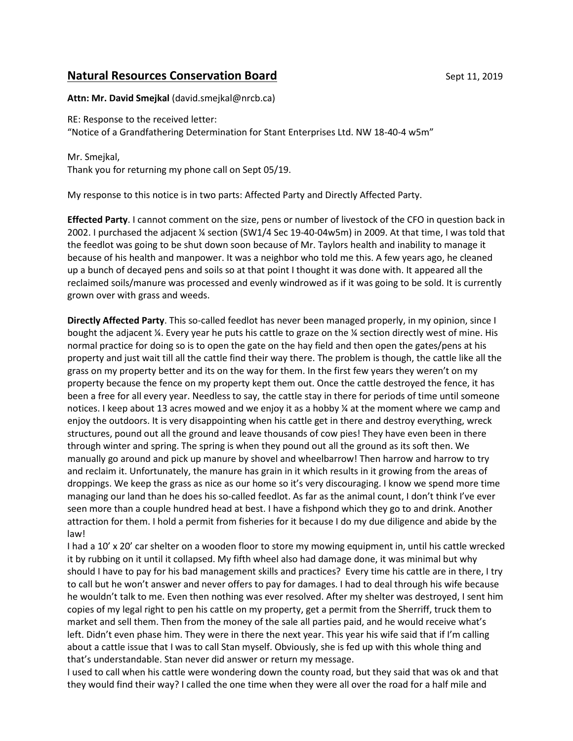## **Natural Resources Conservation Board** Sept 11, 2019

**Attn: Mr. David Smejkal** (david.smejkal@nrcb.ca)

RE: Response to the received letter: "Notice of a Grandfathering Determination for Stant Enterprises Ltd. NW 18-40-4 w5m"

Mr. Smejkal, Thank you for returning my phone call on Sept 05/19.

My response to this notice is in two parts: Affected Party and Directly Affected Party.

**Effected Party**. I cannot comment on the size, pens or number of livestock of the CFO in question back in 2002. I purchased the adjacent ¼ section (SW1/4 Sec 19-40-04w5m) in 2009. At that time, I was told that the feedlot was going to be shut down soon because of Mr. Taylors health and inability to manage it because of his health and manpower. It was a neighbor who told me this. A few years ago, he cleaned up a bunch of decayed pens and soils so at that point I thought it was done with. It appeared all the reclaimed soils/manure was processed and evenly windrowed as if it was going to be sold. It is currently grown over with grass and weeds.

**Directly Affected Party**. This so-called feedlot has never been managed properly, in my opinion, since I bought the adjacent ¼. Every year he puts his cattle to graze on the ¼ section directly west of mine. His normal practice for doing so is to open the gate on the hay field and then open the gates/pens at his property and just wait till all the cattle find their way there. The problem is though, the cattle like all the grass on my property better and its on the way for them. In the first few years they weren't on my property because the fence on my property kept them out. Once the cattle destroyed the fence, it has been a free for all every year. Needless to say, the cattle stay in there for periods of time until someone notices. I keep about 13 acres mowed and we enjoy it as a hobby ¼ at the moment where we camp and enjoy the outdoors. It is very disappointing when his cattle get in there and destroy everything, wreck structures, pound out all the ground and leave thousands of cow pies! They have even been in there through winter and spring. The spring is when they pound out all the ground as its soft then. We manually go around and pick up manure by shovel and wheelbarrow! Then harrow and harrow to try and reclaim it. Unfortunately, the manure has grain in it which results in it growing from the areas of droppings. We keep the grass as nice as our home so it's very discouraging. I know we spend more time managing our land than he does his so-called feedlot. As far as the animal count, I don't think I've ever seen more than a couple hundred head at best. I have a fishpond which they go to and drink. Another attraction for them. I hold a permit from fisheries for it because I do my due diligence and abide by the law!

I had a 10' x 20' car shelter on a wooden floor to store my mowing equipment in, until his cattle wrecked it by rubbing on it until it collapsed. My fifth wheel also had damage done, it was minimal but why should I have to pay for his bad management skills and practices? Every time his cattle are in there, I try to call but he won't answer and never offers to pay for damages. I had to deal through his wife because he wouldn't talk to me. Even then nothing was ever resolved. After my shelter was destroyed, I sent him copies of my legal right to pen his cattle on my property, get a permit from the Sherriff, truck them to market and sell them. Then from the money of the sale all parties paid, and he would receive what's left. Didn't even phase him. They were in there the next year. This year his wife said that if I'm calling about a cattle issue that I was to call Stan myself. Obviously, she is fed up with this whole thing and that's understandable. Stan never did answer or return my message.

I used to call when his cattle were wondering down the county road, but they said that was ok and that they would find their way? I called the one time when they were all over the road for a half mile and